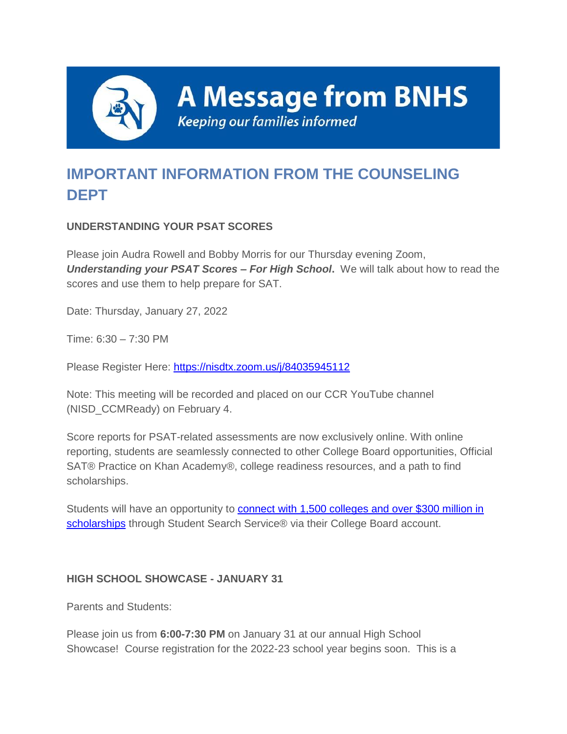

**A Message from BNHS** 

**Keeping our families informed** 

# **IMPORTANT INFORMATION FROM THE COUNSELING DEPT**

# **UNDERSTANDING YOUR PSAT SCORES**

Please join Audra Rowell and Bobby Morris for our Thursday evening Zoom, *Understanding your PSAT Scores – For High School***.** We will talk about how to read the scores and use them to help prepare for SAT.

Date: Thursday, January 27, 2022

Time: 6:30 – 7:30 PM

Please Register Here: [https://nisdtx.zoom.us/j/84035945112](http://track.spe.schoolmessenger.com/f/a/d9ODabDP7qqnCXBcEqZjRA~~/AAAAAQA~/RgRj0aX9P0QkaHR0cHM6Ly9uaXNkdHguem9vbS51cy9qLzg0MDM1OTQ1MTEyVwdzY2hvb2xtQgph331y8GEJLsd-UhNwc21pdGgwNEBuaXNkdHgub3JnWAQAAAAB)

Note: This meeting will be recorded and placed on our CCR YouTube channel (NISD\_CCMReady) on February 4.

Score reports for PSAT-related assessments are now exclusively online. With online reporting, students are seamlessly connected to other College Board opportunities, Official SAT® Practice on Khan Academy®, college readiness resources, and a path to find scholarships.

Students will have an opportunity to **connect with 1,500 colleges and over \$300 million in** [scholarships](http://track.spe.schoolmessenger.com/f/a/hmrqumtBkxpL9g9O-Vw7ZA~~/AAAAAQA~/RgRj0aX9P0RYaHR0cHM6Ly9wcm90ZWN0LXVzLm1pbWVjYXN0LmNvbS9zL2h2VTlDbVpqNFpTV0sxWWppWlZHc3M_ZG9tYWluPWNsaWNrLmUuY29sbGVnZWJvYXJkLm9yZ1cHc2Nob29sbUIKYd99cvBhCS7HflITcHNtaXRoMDRAbmlzZHR4Lm9yZ1gEAAAAAQ~~) through Student Search Service® via their College Board account.

## **HIGH SCHOOL SHOWCASE - JANUARY 31**

Parents and Students:

Please join us from **6:00-7:30 PM** on January 31 at our annual High School Showcase! Course registration for the 2022-23 school year begins soon. This is a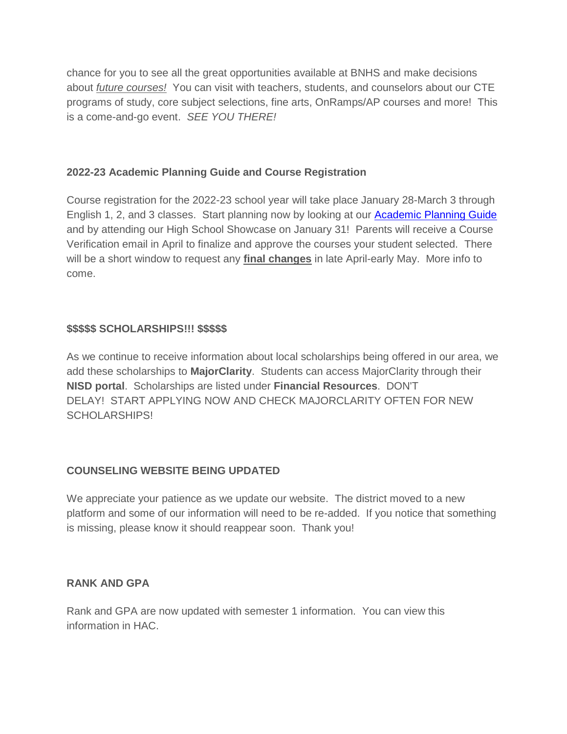chance for you to see all the great opportunities available at BNHS and make decisions about *future courses!* You can visit with teachers, students, and counselors about our CTE programs of study, core subject selections, fine arts, OnRamps/AP courses and more! This is a come-and-go event. *SEE YOU THERE!*

### **2022-23 Academic Planning Guide and Course Registration**

Course registration for the 2022-23 school year will take place January 28-March 3 through English 1, 2, and 3 classes. Start planning now by looking at our [Academic Planning Guide](http://track.spe.schoolmessenger.com/f/a/0mSVUFS36x_euaKdn08sGw~~/AAAAAQA~/RgRj0aX9P0RcaHR0cHM6Ly93d3cubmlzZHR4Lm9yZy9kZXBhcnRtZW50cy9zdHVkZW50LXNlcnZpY2VzL2NvdW5zZWxpbmcvaGlnaC1zY2hvb2wtYWNhZGVtaWMtcGxhbm5pbmdXB3NjaG9vbG1CCmHffXLwYQkux35SE3BzbWl0aDA0QG5pc2R0eC5vcmdYBAAAAAE~) and by attending our High School Showcase on January 31! Parents will receive a Course Verification email in April to finalize and approve the courses your student selected. There will be a short window to request any **final changes** in late April-early May. More info to come.

### **\$\$\$\$\$ SCHOLARSHIPS!!! \$\$\$\$\$**

As we continue to receive information about local scholarships being offered in our area, we add these scholarships to **MajorClarity**. Students can access MajorClarity through their **NISD portal**. Scholarships are listed under **Financial Resources**. DON'T DELAY! START APPLYING NOW AND CHECK MAJORCLARITY OFTEN FOR NEW SCHOLARSHIPS!

## **COUNSELING WEBSITE BEING UPDATED**

We appreciate your patience as we update our website. The district moved to a new platform and some of our information will need to be re-added. If you notice that something is missing, please know it should reappear soon. Thank you!

#### **RANK AND GPA**

Rank and GPA are now updated with semester 1 information. You can view this information in HAC.